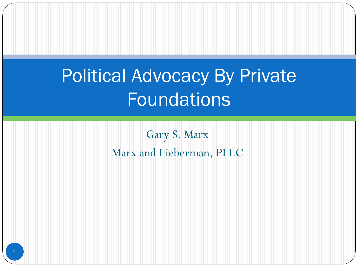## Political Advocacy By Private Foundations

Gary S. Marx Marx and Lieberman, PLLC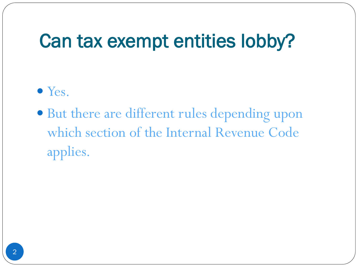#### Can tax exempt entities lobby?

- Yes.
- But there are different rules depending upon which section of the Internal Revenue Code applies.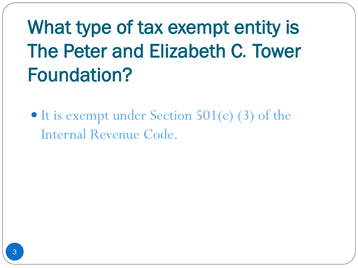# What type of tax exempt entity is The Peter and Elizabeth C*.* Tower Foundation?

• It is exempt under Section 501(c) (3) of the Internal Revenue Code.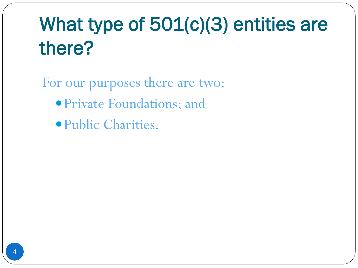## What type of 501(c)(3) entities are there?

For our purposes there are two: Private Foundations; and Public Charities.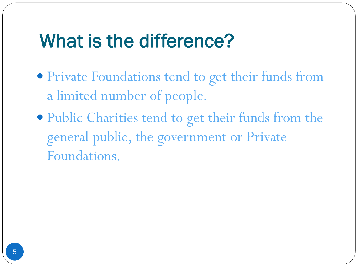#### What is the difference?

- Private Foundations tend to get their funds from a limited number of people.
- Public Charities tend to get their funds from the general public, the government or Private Foundations.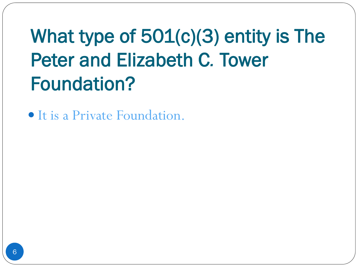# What type of 501(c)(3) entity is The Peter and Elizabeth C*.* Tower Foundation?

It is a Private Foundation.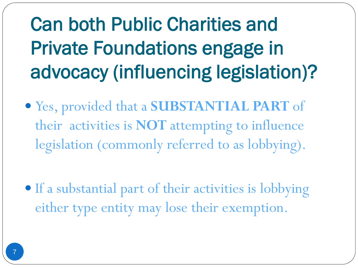# Can both Public Charities and Private Foundations engage in advocacy (influencing legislation)?

 Yes, provided that a **SUBSTANTIAL PART** of their activities is **NOT** attempting to influence legislation (commonly referred to as lobbying).

• If a substantial part of their activities is lobbying either type entity may lose their exemption.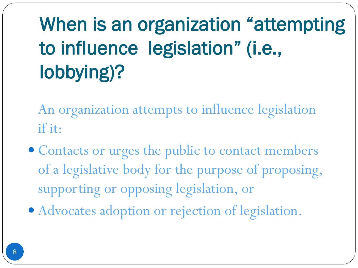# When is an organization "attempting to influence legislation" (i.e., lobbying)?

An organization attempts to influence legislation if it:

- Contacts or urges the public to contact members of a legislative body for the purpose of proposing, supporting or opposing legislation, or
- Advocates adoption or rejection of legislation.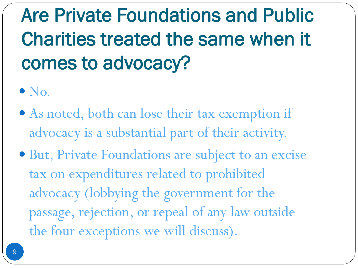Are Private Foundations and Public Charities treated the same when it comes to advocacy?

- $\bullet$  No.
- As noted, both can lose their tax exemption if advocacy is a substantial part of their activity.
- But, Private Foundations are subject to an excise tax on expenditures related to prohibited advocacy (lobbying the government for the passage, rejection, or repeal of any law outside the four exceptions we will discuss).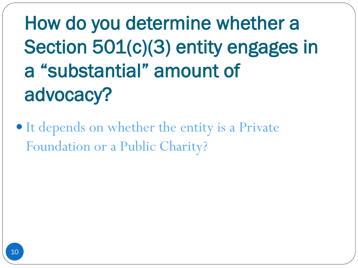How do you determine whether a Section 501(c)(3) entity engages in a "substantial" amount of advocacy?

• It depends on whether the entity is a Private Foundation or a Public Charity?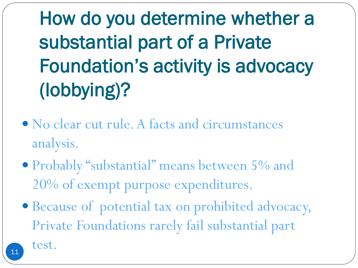How do you determine whether a substantial part of a Private Foundation's activity is advocacy (lobbying)?

- No clear cut rule. A facts and circumstances analysis.
- Probably "substantial" means between 5% and 20% of exempt purpose expenditures.
- Because of potential tax on prohibited advocacy, Private Foundations rarely fail substantial part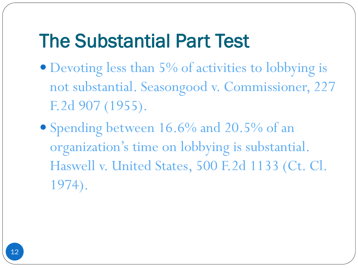#### The Substantial Part Test

- Devoting less than 5% of activities to lobbying is not substantial. Seasongood v. Commissioner, 227 F.2d 907 (1955).
- Spending between 16.6% and 20.5% of an organization's time on lobbying is substantial. Haswell v. United States, 500 F.2d 1133 (Ct. Cl. 1974).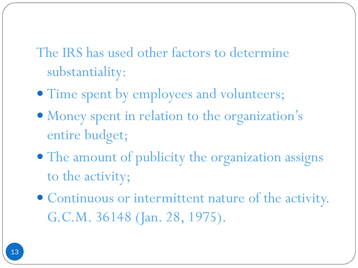The IRS has used other factors to determine substantiality:

- $\bullet$  Time spent by employees and volunteers;
- Money spent in relation to the organization's entire budget;
- The amount of publicity the organization assigns to the activity;
- Continuous or intermittent nature of the activity. G.C.M. 36148 (Jan. 28, 1975).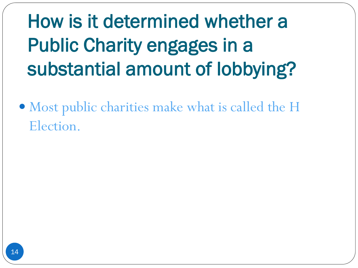How is it determined whether a Public Charity engages in a substantial amount of lobbying?

 Most public charities make what is called the H Election.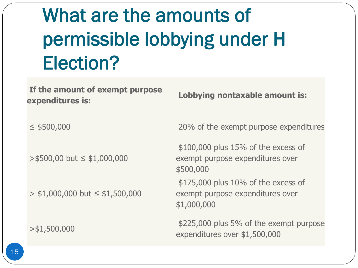# What are the amounts of permissible lobbying under H Election?

**If the amount of exempt purpose expenditures is: Lobbying nontaxable amount is:**

>\$500,00 but ≤ \$1,000,000

 $>$  \$1,000,000 but  $\le$  \$1,500,000

≤ \$500,000 20% of the exempt purpose expenditures

\$100,000 plus 15% of the excess of exempt purpose expenditures over \$500,000 \$175,000 plus 10% of the excess of exempt purpose expenditures over \$1,000,000

>\$1,500,000 \$225,000 plus 5% of the exempt purpose expenditures over \$1,500,000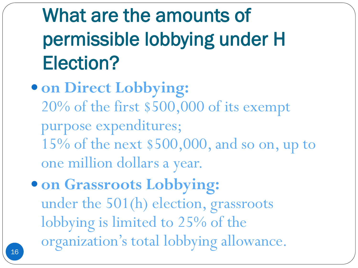# What are the amounts of permissible lobbying under H Election?

- **on Direct Lobbying:** 20% of the first \$500,000 of its exempt purpose expenditures; 15% of the next \$500,000, and so on, up to one million dollars a year.
- **on Grassroots Lobbying:** under the 501(h) election, grassroots lobbying is limited to 25% of the organization's total lobbying allowance.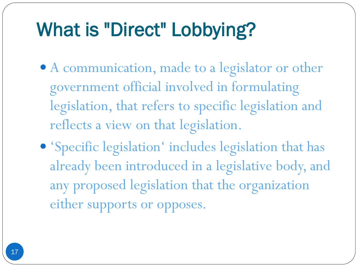## What is "Direct" Lobbying?

- A communication, made to a legislator or other government official involved in formulating legislation, that refers to specific legislation and reflects a view on that legislation.
- 'Specific legislation' includes legislation that has already been introduced in a legislative body, and any proposed legislation that the organization either supports or opposes.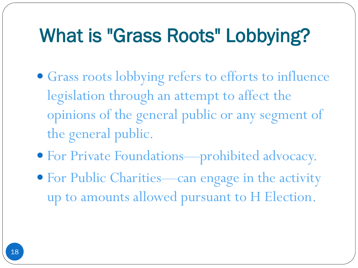## What is "Grass Roots" Lobbying?

- Grass roots lobbying refers to efforts to influence legislation through an attempt to affect the opinions of the general public or any segment of the general public.
- For Private Foundations—prohibited advocacy.
- For Public Charities—can engage in the activity up to amounts allowed pursuant to H Election.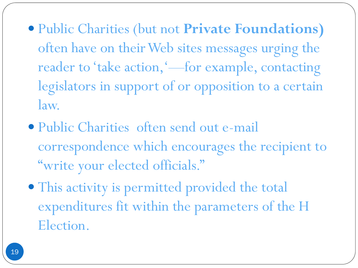- Public Charities (but not **Private Foundations)**  often have on their Web sites messages urging the reader to 'take action,'—for example, contacting legislators in support of or opposition to a certain law.
- Public Charities often send out e-mail correspondence which encourages the recipient to "write your elected officials."
- This activity is permitted provided the total expenditures fit within the parameters of the H Election.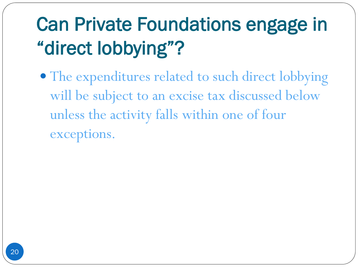# Can Private Foundations engage in "direct lobbying"?

• The expenditures related to such direct lobbying will be subject to an excise tax discussed below unless the activity falls within one of four exceptions.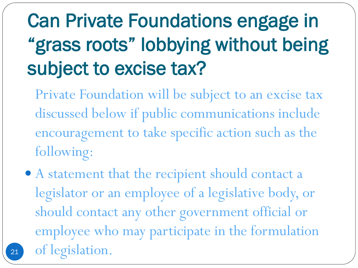# Can Private Foundations engage in "grass roots" lobbying without being subject to excise tax?

- Private Foundation will be subject to an excise tax discussed below if public communications include encouragement to take specific action such as the following:
- A statement that the recipient should contact a legislator or an employee of a legislative body, or should contact any other government official or employee who may participate in the formulation of legislation.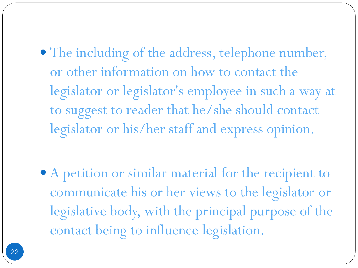The including of the address, telephone number, or other information on how to contact the legislator or legislator's employee in such a way at to suggest to reader that he/she should contact legislator or his/her staff and express opinion.

 A petition or similar material for the recipient to communicate his or her views to the legislator or legislative body, with the principal purpose of the contact being to influence legislation.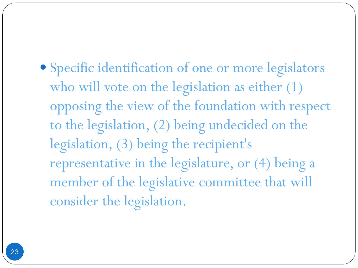Specific identification of one or more legislators who will vote on the legislation as either  $(1)$ opposing the view of the foundation with respect to the legislation, (2) being undecided on the legislation, (3) being the recipient's representative in the legislature, or (4) being a member of the legislative committee that will consider the legislation.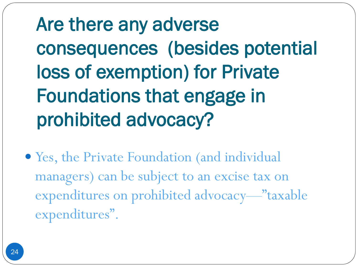Are there any adverse consequences (besides potential loss of exemption) for Private Foundations that engage in prohibited advocacy?

 Yes, the Private Foundation (and individual managers) can be subject to an excise tax on expenditures on prohibited advocacy—"taxable expenditures".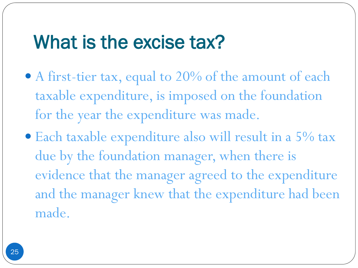#### What is the excise tax?

- A first-tier tax, equal to 20% of the amount of each taxable expenditure, is imposed on the foundation for the year the expenditure was made.
- Each taxable expenditure also will result in a 5% tax due by the foundation manager, when there is evidence that the manager agreed to the expenditure and the manager knew that the expenditure had been made.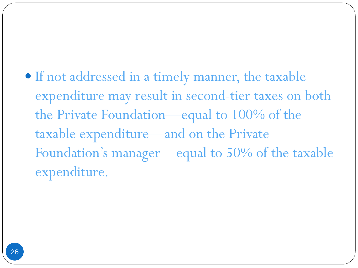• If not addressed in a timely manner, the taxable expenditure may result in second-tier taxes on both the Private Foundation—equal to 100% of the taxable expenditure—and on the Private Foundation's manager—equal to 50% of the taxable expenditure.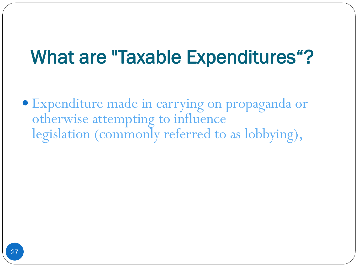#### What are "Taxable Expenditures"?

 Expenditure made in carrying on propaganda or otherwise attempting to influence legislation (commonly referred to as lobbying),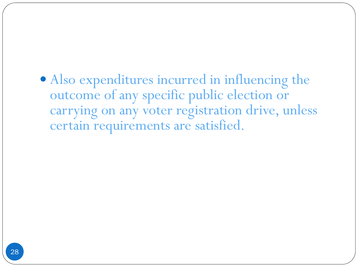Also expenditures incurred in influencing the outcome of any specific public election or carrying on any voter registration drive, unless certain requirements are satisfied.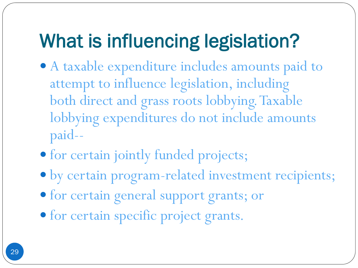## What is influencing legislation?

- A taxable expenditure includes amounts paid to attempt to influence legislation, including both direct and grass roots lobbying. Taxable lobbying expenditures do not include amounts paid--
- for certain jointly funded projects;
- by certain program-related investment recipients;
- for certain general support grants; or
- for certain specific project grants.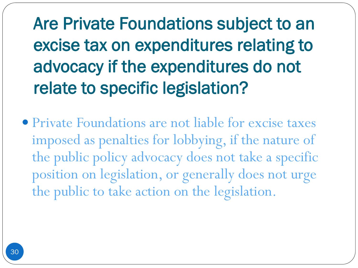Are Private Foundations subject to an excise tax on expenditures relating to advocacy if the expenditures do not relate to specific legislation?

 Private Foundations are not liable for excise taxes imposed as penalties for lobbying, if the nature of the public policy advocacy does not take a specific position on legislation, or generally does not urge the public to take action on the legislation.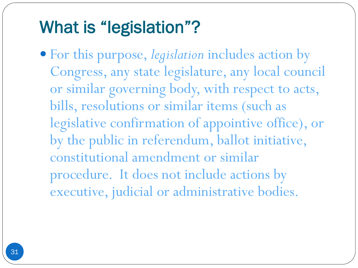#### What is "legislation"?

 For this purpose, *legislation* includes action by Congress, any state legislature, any local council or similar governing body, with respect to acts, bills, resolutions or similar items (such as legislative confirmation of appointive office), or by the public in referendum, ballot initiative, constitutional amendment or similar procedure. It does not include actions by executive, judicial or administrative bodies.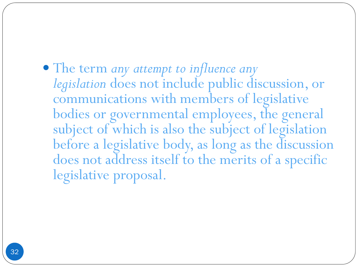The term *any attempt to influence any legislation* does not include public discussion, or communications with members of legislative bodies or governmental employees, the general subject of which is also the subject of legislation before a legislative body, as long as the discussion does not address itself to the merits of a specific legislative proposal.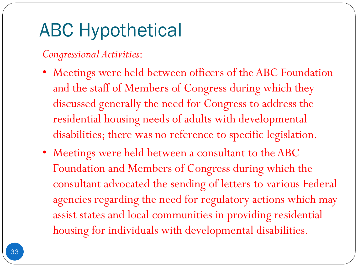## ABC Hypothetical

#### *Congressional Activities*:

- Meetings were held between officers of the ABC Foundation and the staff of Members of Congress during which they discussed generally the need for Congress to address the residential housing needs of adults with developmental disabilities; there was no reference to specific legislation.
- Meetings were held between a consultant to the ABC Foundation and Members of Congress during which the consultant advocated the sending of letters to various Federal agencies regarding the need for regulatory actions which may assist states and local communities in providing residential housing for individuals with developmental disabilities.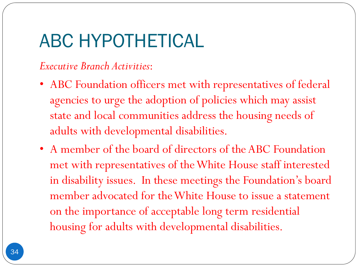#### ABC HYPOTHETICAL

#### *Executive Branch Activities*:

- ABC Foundation officers met with representatives of federal agencies to urge the adoption of policies which may assist state and local communities address the housing needs of adults with developmental disabilities.
- A member of the board of directors of the ABC Foundation met with representatives of the White House staff interested in disability issues. In these meetings the Foundation's board member advocated for the White House to issue a statement on the importance of acceptable long term residential housing for adults with developmental disabilities.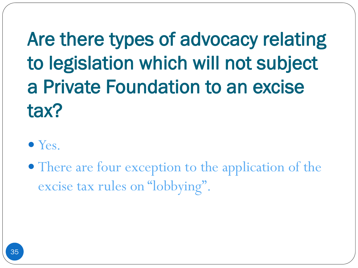Are there types of advocacy relating to legislation which will not subject a Private Foundation to an excise tax?

#### • Yes.

• There are four exception to the application of the excise tax rules on "lobbying".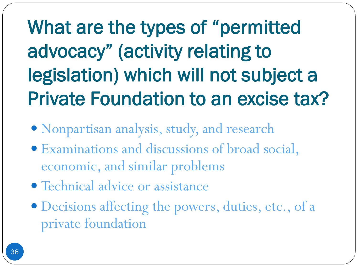What are the types of "permitted advocacy" (activity relating to legislation) which will not subject a Private Foundation to an excise tax?

- Nonpartisan analysis, study, and research
- Examinations and discussions of broad social, economic, and similar problems
- Technical advice or assistance
- Decisions affecting the powers, duties, etc., of a private foundation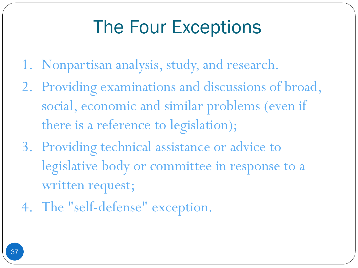### The Four Exceptions

- 1. Nonpartisan analysis, study, and research.
- 2. Providing examinations and discussions of broad, social, economic and similar problems (even if there is a reference to legislation);
- 3. Providing technical assistance or advice to legislative body or committee in response to a written request;
- 4. The "self-defense" exception.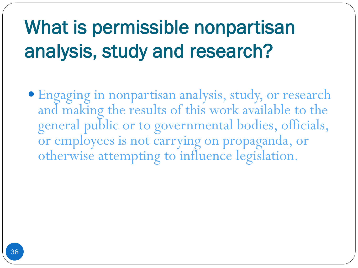# What is permissible nonpartisan analysis, study and research?

 Engaging in nonpartisan analysis, study, or research and making the results of this work available to the general public or to governmental bodies, officials, or employees is not carrying on propaganda, or otherwise attempting to influence legislation.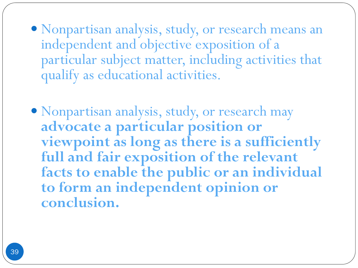- Nonpartisan analysis, study, or research means an independent and objective exposition of a particular subject matter, including activities that qualify as educational activities.
- Nonpartisan analysis, study, or research may **advocate a particular position or viewpoint as long as there is a sufficiently full and fair exposition of the relevant facts to enable the public or an individual to form an independent opinion or conclusion.**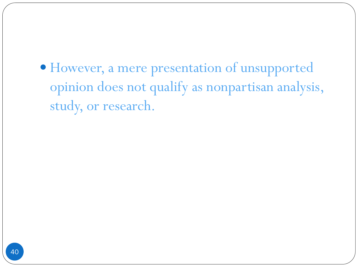However, a mere presentation of unsupported opinion does not qualify as nonpartisan analysis, study, or research.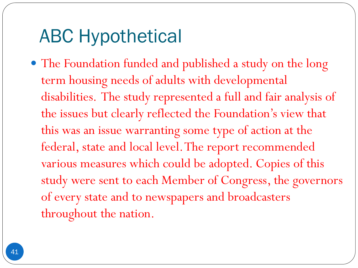The Foundation funded and published a study on the long term housing needs of adults with developmental disabilities. The study represented a full and fair analysis of the issues but clearly reflected the Foundation's view that this was an issue warranting some type of action at the federal, state and local level. The report recommended various measures which could be adopted. Copies of this study were sent to each Member of Congress, the governors of every state and to newspapers and broadcasters throughout the nation.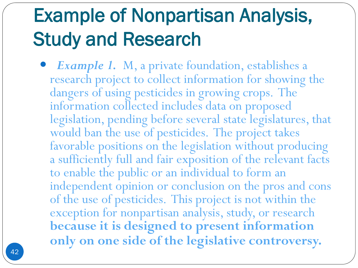### Example of Nonpartisan Analysis, Study and Research

 *Example 1.* M, a private foundation, establishes a research project to collect information for showing the dangers of using pesticides in growing crops. The information collected includes data on proposed legislation, pending before several state legislatures, that would ban the use of pesticides. The project takes favorable positions on the legislation without producing a sufficiently full and fair exposition of the relevant facts to enable the public or an individual to form an independent opinion or conclusion on the pros and cons of the use of pesticides. This project is not within the exception for nonpartisan analysis, study, or research **because it is designed to present information only on one side of the legislative controversy.**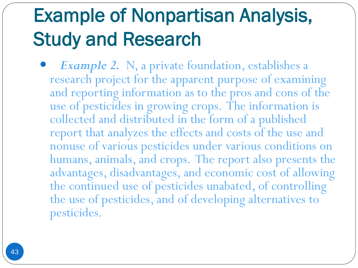### Example of Nonpartisan Analysis, Study and Research

 *Example 2.* N, a private foundation, establishes a research project for the apparent purpose of examining and reporting information as to the pros and cons of the use of pesticides in growing crops. The information is collected and distributed in the form of a published report that analyzes the effects and costs of the use and nonuse of various pesticides under various conditions on humans, animals, and crops. The report also presents the advantages, disadvantages, and economic cost of allowing the continued use of pesticides unabated, of controlling the use of pesticides, and of developing alternatives to pesticides.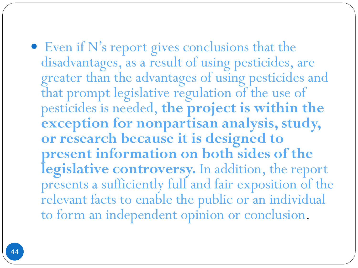Even if N's report gives conclusions that the disadvantages, as a result of using pesticides, are greater than the advantages of using pesticides and that prompt legislative regulation of the use of pesticides is needed, **the project is within the exception for nonpartisan analysis, study, or research because it is designed to present information on both sides of the legislative controversy.** In addition, the report presents a sufficiently full and fair exposition of the relevant facts to enable the public or an individual to form an independent opinion or conclusion.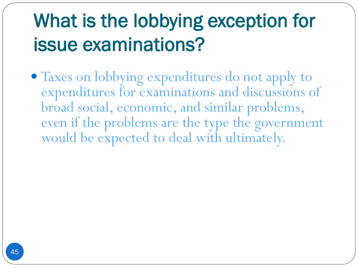# What is the lobbying exception for issue examinations?

 Taxes on lobbying expenditures do not apply to expenditures for examinations and discussions of broad social, economic, and similar problems, even if the problems are the type the government would be expected to deal with ultimately.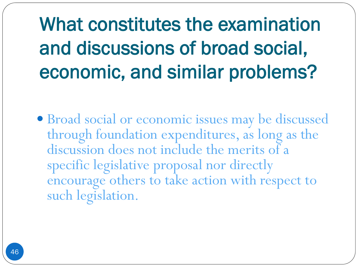# What constitutes the examination and discussions of broad social, economic, and similar problems?

 Broad social or economic issues may be discussed through foundation expenditures, as long as the discussion does not include the merits of a specific legislative proposal nor directly encourage others to take action with respect to such legislation.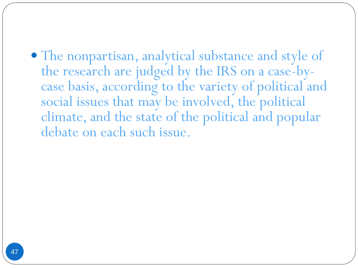• The nonpartisan, analytical substance and style of the research are judged by the IRS on a case-bycase basis, according to the variety of political and social issues that may be involved, the political climate, and the state of the political and popular debate on each such issue.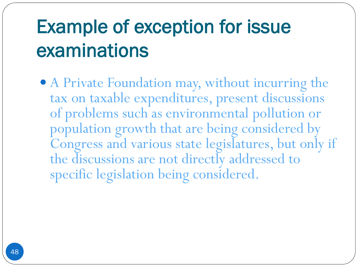# Example of exception for issue examinations

 A Private Foundation may, without incurring the tax on taxable expenditures, present discussions of problems such as environmental pollution or population growth that are being considered by Congress and various state legislatures, but only if the discussions are not directly addressed to specific legislation being considered.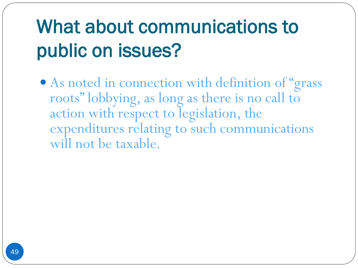# What about communications to public on issues?

 As noted in connection with definition of "grass roots" lobbying, as long as there is no call to action with respect to legislation, the expenditures relating to such communications will not be taxable.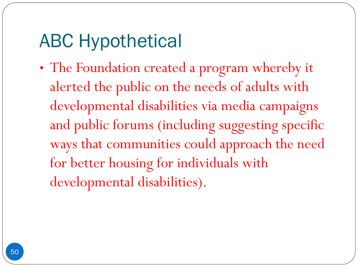• The Foundation created a program whereby it alerted the public on the needs of adults with developmental disabilities via media campaigns and public forums (including suggesting specific ways that communities could approach the need for better housing for individuals with developmental disabilities).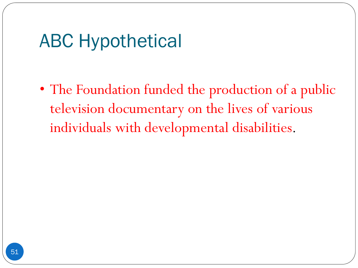• The Foundation funded the production of a public television documentary on the lives of various individuals with developmental disabilities.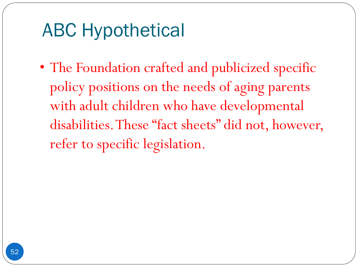• The Foundation crafted and publicized specific policy positions on the needs of aging parents with adult children who have developmental disabilities. These "fact sheets" did not, however, refer to specific legislation.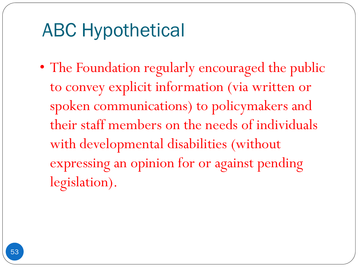• The Foundation regularly encouraged the public to convey explicit information (via written or spoken communications) to policymakers and their staff members on the needs of individuals with developmental disabilities (without expressing an opinion for or against pending legislation).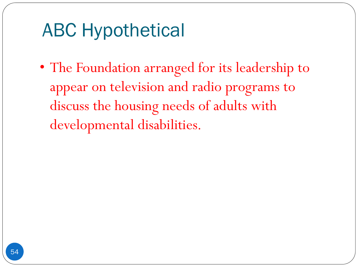• The Foundation arranged for its leadership to appear on television and radio programs to discuss the housing needs of adults with developmental disabilities.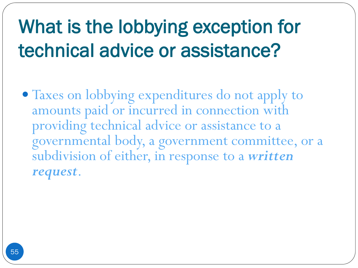# What is the lobbying exception for technical advice or assistance?

 Taxes on lobbying expenditures do not apply to amounts paid or incurred in connection with providing technical advice or assistance to a governmental body, a government committee, or a subdivision of either, in response to a *written request*.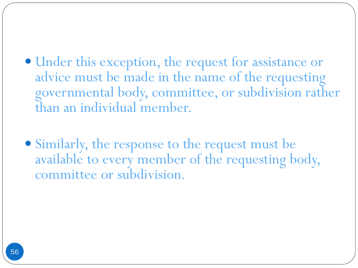- Under this exception, the request for assistance or advice must be made in the name of the requesting governmental body, committee, or subdivision rather than an individual member.
- Similarly, the response to the request must be available to every member of the requesting body, committee or subdivision.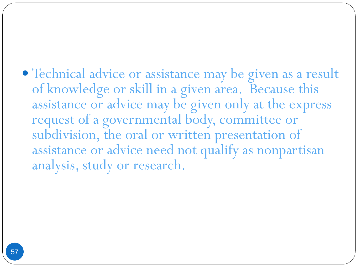Technical advice or assistance may be given as a result of knowledge or skill in a given area. Because this assistance or advice may be given only at the express request of a governmental body, committee or subdivision, the oral or written presentation of assistance or advice need not qualify as nonpartisan analysis, study or research.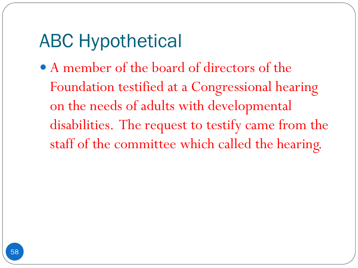A member of the board of directors of the Foundation testified at a Congressional hearing on the needs of adults with developmental disabilities. The request to testify came from the staff of the committee which called the hearing.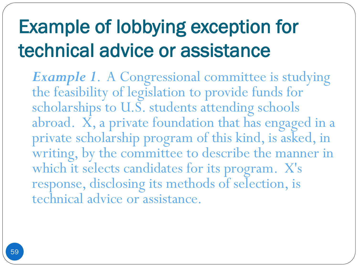# Example of lobbying exception for technical advice or assistance

**Example 1.** A Congressional committee is studying the feasibility of legislation to provide funds for scholarships to U.S. students attending schools abroad. X, a private foundation that has engaged in a private scholarship program of this kind, is asked, in writing, by the committee to describe the manner in which it selects candidates for its program. X's response, disclosing its methods of selection, is technical advice or assistance.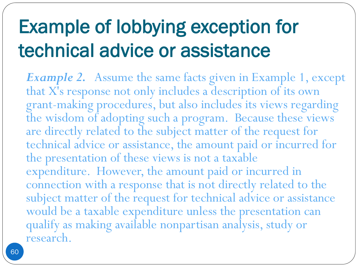# Example of lobbying exception for technical advice or assistance

*Example 2.* Assume the same facts given in Example 1, except that X's response not only includes a description of its own grant-making procedures, but also includes its views regarding the wisdom of adopting such a program. Because these views are directly related to the subject matter of the request for technical advice or assistance, the amount paid or incurred for the presentation of these views is not a taxable expenditure. However, the amount paid or incurred in connection with a response that is not directly related to the subject matter of the request for technical advice or assistance would be a taxable expenditure unless the presentation can qualify as making available nonpartisan analysis, study or research.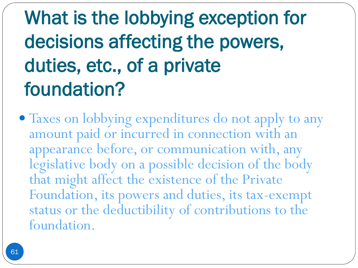# What is the lobbying exception for decisions affecting the powers, duties, etc., of a private foundation?

 Taxes on lobbying expenditures do not apply to any amount paid or incurred in connection with an appearance before, or communication with, any legislative body on a possible decision of the body that might affect the existence of the Private Foundation, its powers and duties, its tax-exempt status or the deductibility of contributions to the foundation.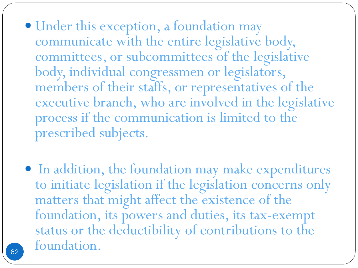- Under this exception, a foundation may communicate with the entire legislative body, committees, or subcommittees of the legislative body, individual congressmen or legislators, members of their staffs, or representatives of the executive branch, who are involved in the legislative process if the communication is limited to the prescribed subjects.
- In addition, the foundation may make expenditures to initiate legislation if the legislation concerns only matters that might affect the existence of the foundation, its powers and duties, its tax-exempt status or the deductibility of contributions to the foundation. <sup>62</sup>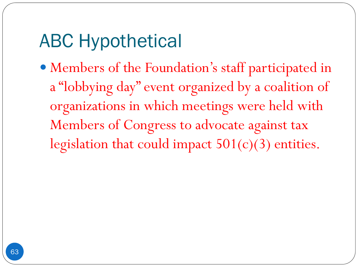Members of the Foundation's staff participated in a "lobbying day" event organized by a coalition of organizations in which meetings were held with Members of Congress to advocate against tax legislation that could impact 501(c)(3) entities.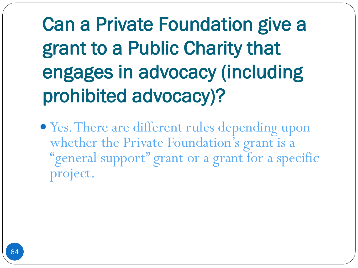# Can a Private Foundation give a grant to a Public Charity that engages in advocacy (including prohibited advocacy)?

 Yes. There are different rules depending upon whether the Private Foundation's grant is a "general support" grant or a grant for a specific project.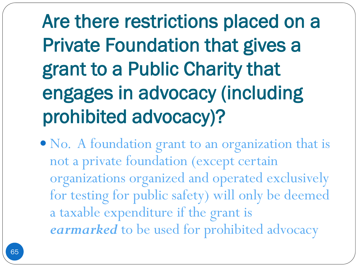Are there restrictions placed on a Private Foundation that gives a grant to a Public Charity that engages in advocacy (including prohibited advocacy)?

• No. A foundation grant to an organization that is not a private foundation (except certain organizations organized and operated exclusively for testing for public safety) will only be deemed a taxable expenditure if the grant is *earmarked* to be used for prohibited advocacy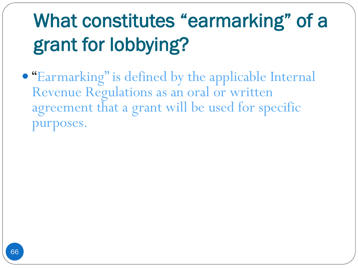# What constitutes "earmarking" of a grant for lobbying?

 "Earmarking" is defined by the applicable Internal Revenue Regulations as an oral or written agreement that a grant will be used for specific purposes.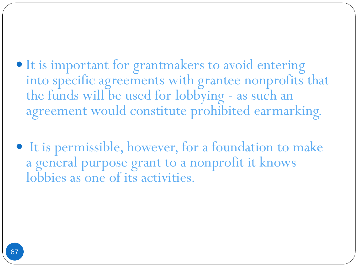- It is important for grantmakers to avoid entering into specific agreements with grantee nonprofits that the funds will be used for lobbying - as such an agreement would constitute prohibited earmarking.
- It is permissible, however, for a foundation to make a general purpose grant to a nonprofit it knows lobbies as one of its activities.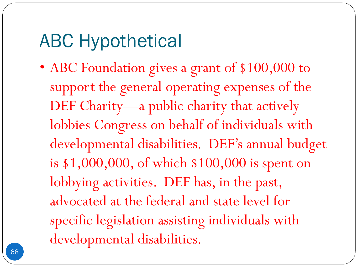• ABC Foundation gives a grant of \$100,000 to support the general operating expenses of the DEF Charity—a public charity that actively lobbies Congress on behalf of individuals with developmental disabilities. DEF's annual budget is \$1,000,000, of which \$100,000 is spent on lobbying activities. DEF has, in the past, advocated at the federal and state level for specific legislation assisting individuals with developmental disabilities.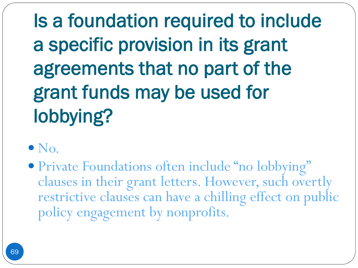Is a foundation required to include a specific provision in its grant agreements that no part of the grant funds may be used for lobbying?

- $\bullet$  No.
- Private Foundations often include "no lobbying" clauses in their grant letters. However, such overtly restrictive clauses can have a chilling effect on public policy engagement by nonprofits.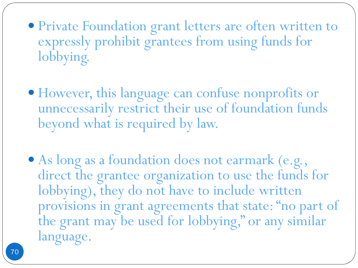Private Foundation grant letters are often written to expressly prohibit grantees from using funds for lobbying.

 However, this language can confuse nonprofits or unnecessarily restrict their use of foundation funds beyond what is required by law.

 As long as a foundation does not earmark (e.g., direct the grantee organization to use the funds for lobbying), they do not have to include written provisions in grant agreements that state: "no part of the grant may be used for lobbying," or any similar language.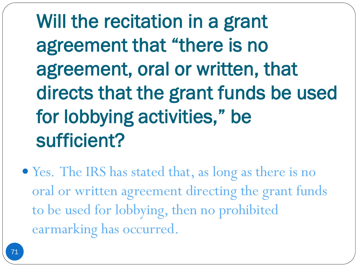Will the recitation in a grant agreement that "there is no agreement, oral or written, that directs that the grant funds be used for lobbying activities," be sufficient?

 Yes. The IRS has stated that, as long as there is no oral or written agreement directing the grant funds to be used for lobbying, then no prohibited earmarking has occurred.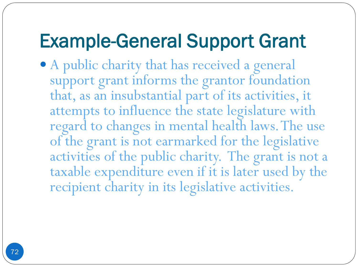### Example-General Support Grant

 A public charity that has received a general support grant informs the grantor foundation that, as an insubstantial part of its activities, it attempts to influence the state legislature with regard to changes in mental health laws. The use of the grant is not earmarked for the legislative activities of the public charity. The grant is not a taxable expenditure even if it is later used by the recipient charity in its legislative activities.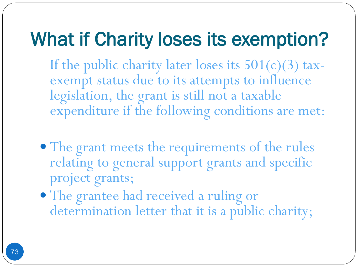## What if Charity loses its exemption?

If the public charity later loses its  $501(c)(3)$  taxexempt status due to its attempts to influence legislation, the grant is still not a taxable expenditure if the following conditions are met:

- The grant meets the requirements of the rules relating to general support grants and specific project grants;
- The grantee had received a ruling or determination letter that it is a public charity;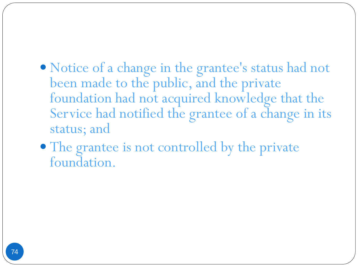- Notice of a change in the grantee's status had not been made to the public, and the private foundation had not acquired knowledge that the Service had notified the grantee of a change in its status; and
- The grantee is not controlled by the private foundation.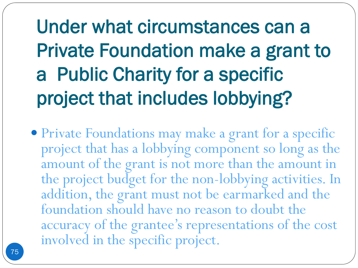Under what circumstances can a Private Foundation make a grant to a Public Charity for a specific project that includes lobbying?

 Private Foundations may make a grant for a specific project that has a lobbying component so long as the amount of the grant is not more than the amount in the project budget for the non-lobbying activities. In addition, the grant must not be earmarked and the foundation should have no reason to doubt the accuracy of the grantee's representations of the cost involved in the specific project.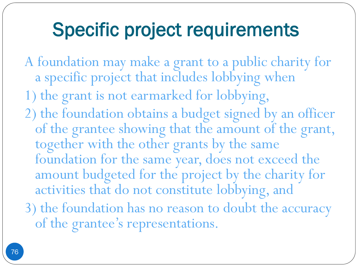### Specific project requirements

- A foundation may make a grant to a public charity for a specific project that includes lobbying when
- 1) the grant is not earmarked for lobbying,
- 2) the foundation obtains a budget signed by an officer of the grantee showing that the amount of the grant, together with the other grants by the same foundation for the same year, does not exceed the amount budgeted for the project by the charity for activities that do not constitute lobbying, and
- 3) the foundation has no reason to doubt the accuracy of the grantee's representations.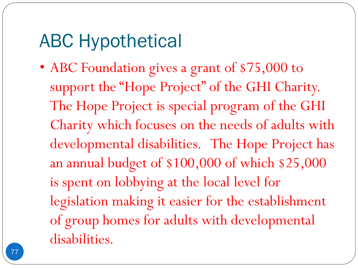### ABC Hypothetical

• ABC Foundation gives a grant of \$75,000 to support the "Hope Project" of the GHI Charity. The Hope Project is special program of the GHI Charity which focuses on the needs of adults with developmental disabilities. The Hope Project has an annual budget of \$100,000 of which \$25,000 is spent on lobbying at the local level for legislation making it easier for the establishment of group homes for adults with developmental disabilities.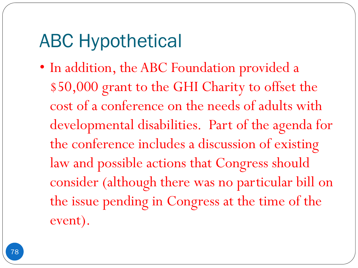### ABC Hypothetical

• In addition, the ABC Foundation provided a \$50,000 grant to the GHI Charity to offset the cost of a conference on the needs of adults with developmental disabilities. Part of the agenda for the conference includes a discussion of existing law and possible actions that Congress should consider (although there was no particular bill on the issue pending in Congress at the time of the event).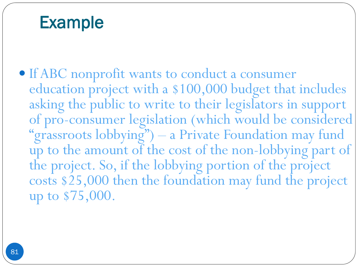#### Example

 If ABC nonprofit wants to conduct a consumer education project with a \$100,000 budget that includes asking the public to write to their legislators in support of pro-consumer legislation (which would be considered "grassroots lobbying") – a Private Foundation may fund up to the amount of the cost of the non-lobbying part of the project. So, if the lobbying portion of the project costs \$25,000 then the foundation may fund the project up to \$75,000.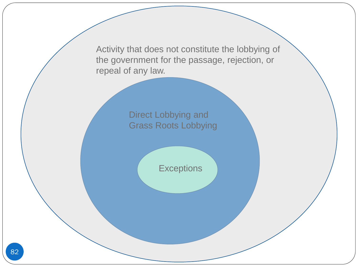Activity that does not constitute the lobbying of the government for the passage, rejection, or repeal of any law.

> Direct Lobbying and Grass Roots Lobbying

> > **Exceptions**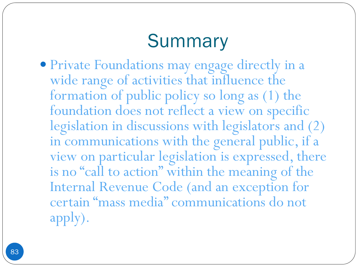## **Summary**

 Private Foundations may engage directly in a wide range of activities that influence the formation of public policy so long as (1) the foundation does not reflect a view on specific legislation in discussions with legislators and (2) in communications with the general public, if a view on particular legislation is expressed, there is no "call to action" within the meaning of the Internal Revenue Code (and an exception for certain "mass media" communications do not apply).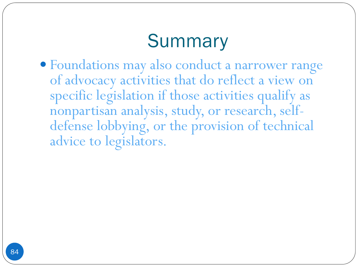## **Summary**

 Foundations may also conduct a narrower range of advocacy activities that do reflect a view on specific legislation if those activities qualify as nonpartisan analysis, study, or research, selfdefense lobbying, or the provision of technical advice to legislators.